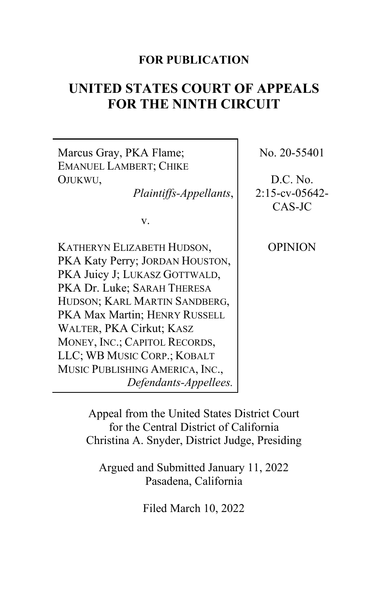# **FOR PUBLICATION**

# **UNITED STATES COURT OF APPEALS FOR THE NINTH CIRCUIT**



Appeal from the United States District Court for the Central District of California Christina A. Snyder, District Judge, Presiding

Argued and Submitted January 11, 2022 Pasadena, California

Filed March 10, 2022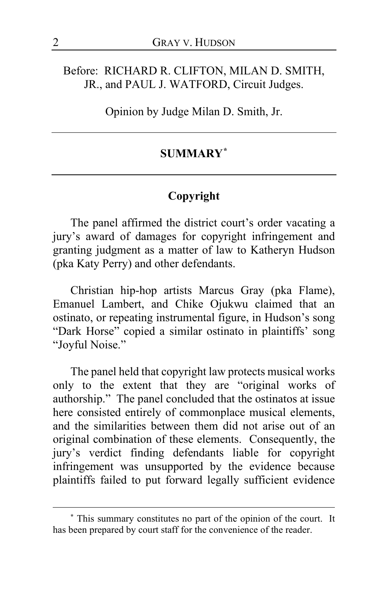### Before: RICHARD R. CLIFTON, MILAN D. SMITH, JR., and PAUL J. WATFORD, Circuit Judges.

Opinion by Judge Milan D. Smith, Jr.

# **SUMMARY[\\*](#page-1-0)**

### **Copyright**

The panel affirmed the district court's order vacating a jury's award of damages for copyright infringement and granting judgment as a matter of law to Katheryn Hudson (pka Katy Perry) and other defendants.

Christian hip-hop artists Marcus Gray (pka Flame), Emanuel Lambert, and Chike Ojukwu claimed that an ostinato, or repeating instrumental figure, in Hudson's song "Dark Horse" copied a similar ostinato in plaintiffs' song "Joyful Noise."

The panel held that copyright law protects musical works only to the extent that they are "original works of authorship." The panel concluded that the ostinatos at issue here consisted entirely of commonplace musical elements, and the similarities between them did not arise out of an original combination of these elements. Consequently, the jury's verdict finding defendants liable for copyright infringement was unsupported by the evidence because plaintiffs failed to put forward legally sufficient evidence

<span id="page-1-0"></span>**<sup>\*</sup>** This summary constitutes no part of the opinion of the court. It has been prepared by court staff for the convenience of the reader.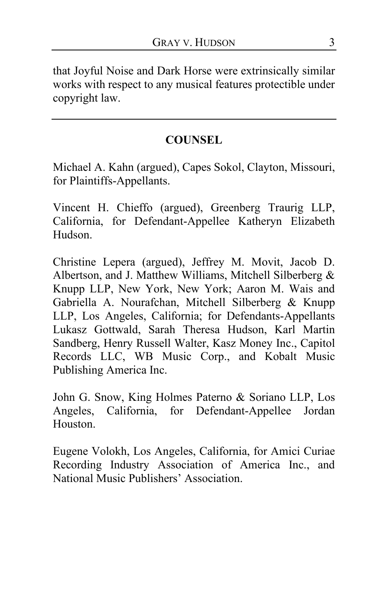that Joyful Noise and Dark Horse were extrinsically similar works with respect to any musical features protectible under copyright law.

# **COUNSEL**

Michael A. Kahn (argued), Capes Sokol, Clayton, Missouri, for Plaintiffs-Appellants.

Vincent H. Chieffo (argued), Greenberg Traurig LLP, California, for Defendant-Appellee Katheryn Elizabeth Hudson.

Christine Lepera (argued), Jeffrey M. Movit, Jacob D. Albertson, and J. Matthew Williams, Mitchell Silberberg & Knupp LLP, New York, New York; Aaron M. Wais and Gabriella A. Nourafchan, Mitchell Silberberg & Knupp LLP, Los Angeles, California; for Defendants-Appellants Lukasz Gottwald, Sarah Theresa Hudson, Karl Martin Sandberg, Henry Russell Walter, Kasz Money Inc., Capitol Records LLC, WB Music Corp., and Kobalt Music Publishing America Inc.

John G. Snow, King Holmes Paterno & Soriano LLP, Los Angeles, California, for Defendant-Appellee Jordan Houston.

Eugene Volokh, Los Angeles, California, for Amici Curiae Recording Industry Association of America Inc., and National Music Publishers' Association.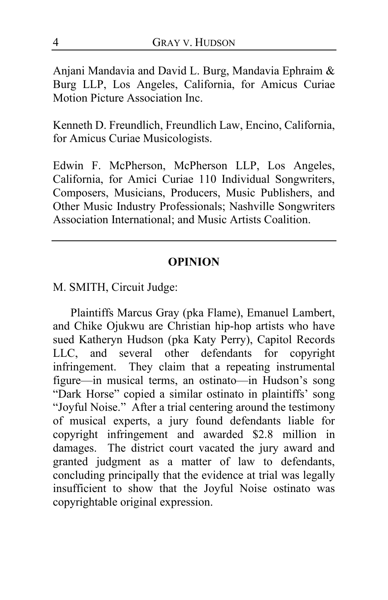Anjani Mandavia and David L. Burg, Mandavia Ephraim & Burg LLP, Los Angeles, California, for Amicus Curiae Motion Picture Association Inc.

Kenneth D. Freundlich, Freundlich Law, Encino, California, for Amicus Curiae Musicologists.

Edwin F. McPherson, McPherson LLP, Los Angeles, California, for Amici Curiae 110 Individual Songwriters, Composers, Musicians, Producers, Music Publishers, and Other Music Industry Professionals; Nashville Songwriters Association International; and Music Artists Coalition.

### **OPINION**

M. SMITH, Circuit Judge:

Plaintiffs Marcus Gray (pka Flame), Emanuel Lambert, and Chike Ojukwu are Christian hip-hop artists who have sued Katheryn Hudson (pka Katy Perry), Capitol Records LLC, and several other defendants for copyright infringement. They claim that a repeating instrumental figure—in musical terms, an ostinato—in Hudson's song "Dark Horse" copied a similar ostinato in plaintiffs' song "Joyful Noise." After a trial centering around the testimony of musical experts, a jury found defendants liable for copyright infringement and awarded \$2.8 million in damages. The district court vacated the jury award and granted judgment as a matter of law to defendants, concluding principally that the evidence at trial was legally insufficient to show that the Joyful Noise ostinato was copyrightable original expression.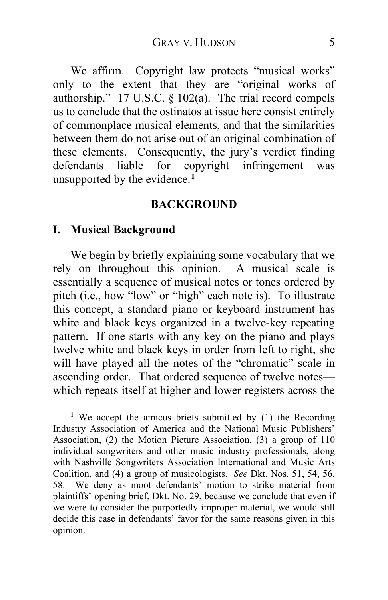We affirm. Copyright law protects "musical works" only to the extent that they are "original works of authorship." 17 U.S.C. § 102(a). The trial record compels us to conclude that the ostinatos at issue here consist entirely of commonplace musical elements, and that the similarities between them do not arise out of an original combination of these elements. Consequently, the jury's verdict finding defendants liable for copyright infringement was unsupported by the evidence.**[1](#page-4-0)**

#### **BACKGROUND**

#### **I. Musical Background**

We begin by briefly explaining some vocabulary that we rely on throughout this opinion. A musical scale is essentially a sequence of musical notes or tones ordered by pitch (i.e., how "low" or "high" each note is). To illustrate this concept, a standard piano or keyboard instrument has white and black keys organized in a twelve-key repeating pattern. If one starts with any key on the piano and plays twelve white and black keys in order from left to right, she will have played all the notes of the "chromatic" scale in ascending order. That ordered sequence of twelve notes which repeats itself at higher and lower registers across the

<span id="page-4-0"></span>**<sup>1</sup>** We accept the amicus briefs submitted by (1) the Recording Industry Association of America and the National Music Publishers' Association, (2) the Motion Picture Association, (3) a group of 110 individual songwriters and other music industry professionals, along with Nashville Songwriters Association International and Music Arts Coalition, and (4) a group of musicologists. *See* Dkt. Nos. 51, 54, 56, 58. We deny as moot defendants' motion to strike material from plaintiffs' opening brief, Dkt. No. 29, because we conclude that even if we were to consider the purportedly improper material, we would still decide this case in defendants' favor for the same reasons given in this opinion.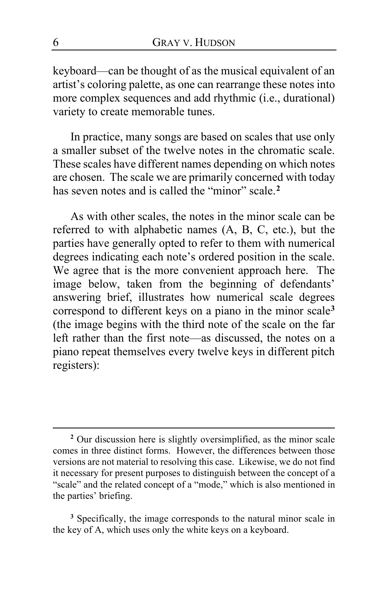keyboard—can be thought of as the musical equivalent of an artist's coloring palette, as one can rearrange these notes into more complex sequences and add rhythmic (i.e., durational) variety to create memorable tunes.

In practice, many songs are based on scales that use only a smaller subset of the twelve notes in the chromatic scale. These scales have different names depending on which notes are chosen. The scale we are primarily concerned with today has seven notes and is called the "minor" scale.<sup>[2](#page-5-0)</sup>

As with other scales, the notes in the minor scale can be referred to with alphabetic names (A, B, C, etc.), but the parties have generally opted to refer to them with numerical degrees indicating each note's ordered position in the scale. We agree that is the more convenient approach here. The image below, taken from the beginning of defendants' answering brief, illustrates how numerical scale degrees correspond to different keys on a piano in the minor scale**[3](#page-5-1)** (the image begins with the third note of the scale on the far left rather than the first note—as discussed, the notes on a piano repeat themselves every twelve keys in different pitch registers):

<span id="page-5-1"></span>**<sup>3</sup>** Specifically, the image corresponds to the natural minor scale in the key of A, which uses only the white keys on a keyboard.

<span id="page-5-0"></span>**<sup>2</sup>** Our discussion here is slightly oversimplified, as the minor scale comes in three distinct forms. However, the differences between those versions are not material to resolving this case. Likewise, we do not find it necessary for present purposes to distinguish between the concept of a "scale" and the related concept of a "mode," which is also mentioned in the parties' briefing.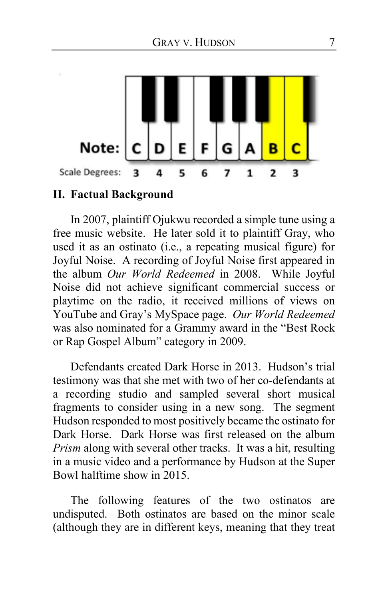

#### **II. Factual Background**

In 2007, plaintiff Ojukwu recorded a simple tune using a free music website. He later sold it to plaintiff Gray, who used it as an ostinato (i.e., a repeating musical figure) for Joyful Noise. A recording of Joyful Noise first appeared in the album *Our World Redeemed* in 2008. While Joyful Noise did not achieve significant commercial success or playtime on the radio, it received millions of views on YouTube and Gray's MySpace page. *Our World Redeemed* was also nominated for a Grammy award in the "Best Rock or Rap Gospel Album" category in 2009.

Defendants created Dark Horse in 2013. Hudson's trial testimony was that she met with two of her co-defendants at a recording studio and sampled several short musical fragments to consider using in a new song. The segment Hudson responded to most positively became the ostinato for Dark Horse. Dark Horse was first released on the album *Prism* along with several other tracks. It was a hit, resulting in a music video and a performance by Hudson at the Super Bowl halftime show in 2015.

The following features of the two ostinatos are undisputed. Both ostinatos are based on the minor scale (although they are in different keys, meaning that they treat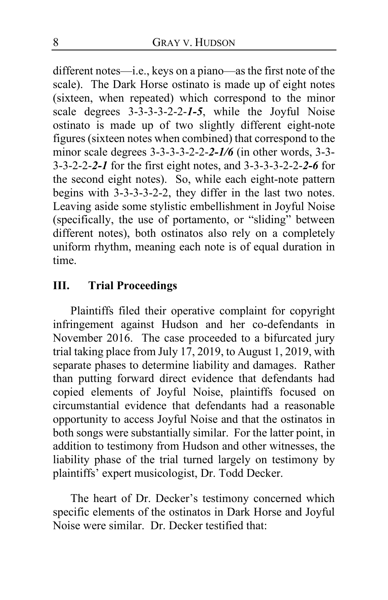different notes—i.e., keys on a piano—as the first note of the scale). The Dark Horse ostinato is made up of eight notes (sixteen, when repeated) which correspond to the minor scale degrees 3-3-3-3-2-2-*1-5*, while the Joyful Noise ostinato is made up of two slightly different eight-note figures (sixteen notes when combined) that correspond to the minor scale degrees 3-3-3-3-2-2-*2-1/6* (in other words, 3-3- 3-3-2-2-*2-1* for the first eight notes, and 3-3-3-3-2-2-*2-6* for the second eight notes). So, while each eight-note pattern begins with 3-3-3-3-2-2, they differ in the last two notes. Leaving aside some stylistic embellishment in Joyful Noise (specifically, the use of portamento, or "sliding" between different notes), both ostinatos also rely on a completely uniform rhythm, meaning each note is of equal duration in time.

# **III. Trial Proceedings**

Plaintiffs filed their operative complaint for copyright infringement against Hudson and her co-defendants in November 2016. The case proceeded to a bifurcated jury trial taking place from July 17, 2019, to August 1, 2019, with separate phases to determine liability and damages. Rather than putting forward direct evidence that defendants had copied elements of Joyful Noise, plaintiffs focused on circumstantial evidence that defendants had a reasonable opportunity to access Joyful Noise and that the ostinatos in both songs were substantially similar. For the latter point, in addition to testimony from Hudson and other witnesses, the liability phase of the trial turned largely on testimony by plaintiffs' expert musicologist, Dr. Todd Decker.

The heart of Dr. Decker's testimony concerned which specific elements of the ostinatos in Dark Horse and Joyful Noise were similar. Dr. Decker testified that: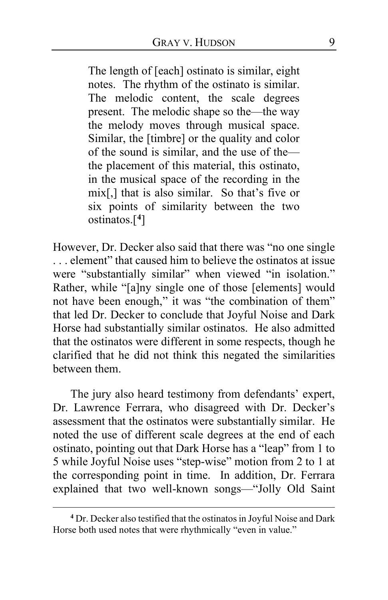The length of [each] ostinato is similar, eight notes. The rhythm of the ostinato is similar. The melodic content, the scale degrees present. The melodic shape so the—the way the melody moves through musical space. Similar, the [timbre] or the quality and color of the sound is similar, and the use of the the placement of this material, this ostinato, in the musical space of the recording in the mix[,] that is also similar. So that's five or six points of similarity between the two ostinatos.[**[4](#page-8-0)**]

However, Dr. Decker also said that there was "no one single . . . element" that caused him to believe the ostinatos at issue were "substantially similar" when viewed "in isolation." Rather, while "[a]ny single one of those [elements] would not have been enough," it was "the combination of them" that led Dr. Decker to conclude that Joyful Noise and Dark Horse had substantially similar ostinatos. He also admitted that the ostinatos were different in some respects, though he clarified that he did not think this negated the similarities between them.

The jury also heard testimony from defendants' expert, Dr. Lawrence Ferrara, who disagreed with Dr. Decker's assessment that the ostinatos were substantially similar. He noted the use of different scale degrees at the end of each ostinato, pointing out that Dark Horse has a "leap" from 1 to 5 while Joyful Noise uses "step-wise" motion from 2 to 1 at the corresponding point in time. In addition, Dr. Ferrara explained that two well-known songs—"Jolly Old Saint

<span id="page-8-0"></span>**<sup>4</sup>** Dr. Decker also testified that the ostinatos in Joyful Noise and Dark Horse both used notes that were rhythmically "even in value."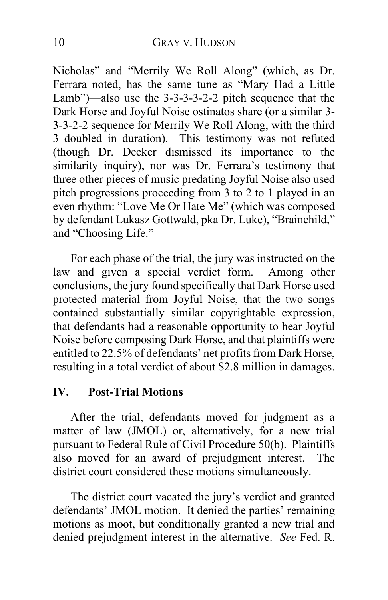Nicholas" and "Merrily We Roll Along" (which, as Dr. Ferrara noted, has the same tune as "Mary Had a Little Lamb")—also use the 3-3-3-3-2-2 pitch sequence that the Dark Horse and Joyful Noise ostinatos share (or a similar 3- 3-3-2-2 sequence for Merrily We Roll Along, with the third 3 doubled in duration). This testimony was not refuted (though Dr. Decker dismissed its importance to the similarity inquiry), nor was Dr. Ferrara's testimony that three other pieces of music predating Joyful Noise also used pitch progressions proceeding from 3 to 2 to 1 played in an even rhythm: "Love Me Or Hate Me" (which was composed by defendant Lukasz Gottwald, pka Dr. Luke), "Brainchild," and "Choosing Life."

For each phase of the trial, the jury was instructed on the law and given a special verdict form. Among other conclusions, the jury found specifically that Dark Horse used protected material from Joyful Noise, that the two songs contained substantially similar copyrightable expression, that defendants had a reasonable opportunity to hear Joyful Noise before composing Dark Horse, and that plaintiffs were entitled to 22.5% of defendants' net profits from Dark Horse, resulting in a total verdict of about \$2.8 million in damages.

### **IV. Post-Trial Motions**

After the trial, defendants moved for judgment as a matter of law (JMOL) or, alternatively, for a new trial pursuant to Federal Rule of Civil Procedure 50(b). Plaintiffs also moved for an award of prejudgment interest. The district court considered these motions simultaneously.

The district court vacated the jury's verdict and granted defendants' JMOL motion. It denied the parties' remaining motions as moot, but conditionally granted a new trial and denied prejudgment interest in the alternative. *See* Fed. R.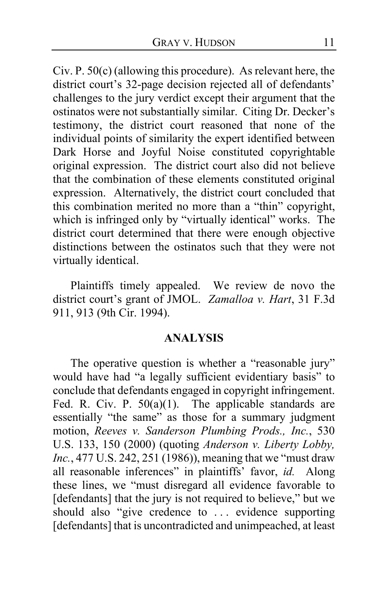Civ. P. 50(c) (allowing this procedure). As relevant here, the district court's 32-page decision rejected all of defendants' challenges to the jury verdict except their argument that the ostinatos were not substantially similar. Citing Dr. Decker's testimony, the district court reasoned that none of the individual points of similarity the expert identified between Dark Horse and Joyful Noise constituted copyrightable original expression. The district court also did not believe that the combination of these elements constituted original expression. Alternatively, the district court concluded that this combination merited no more than a "thin" copyright, which is infringed only by "virtually identical" works. The district court determined that there were enough objective distinctions between the ostinatos such that they were not virtually identical.

Plaintiffs timely appealed. We review de novo the district court's grant of JMOL. *Zamalloa v. Hart*, 31 F.3d 911, 913 (9th Cir. 1994).

#### **ANALYSIS**

The operative question is whether a "reasonable jury" would have had "a legally sufficient evidentiary basis" to conclude that defendants engaged in copyright infringement. Fed. R. Civ. P.  $50(a)(1)$ . The applicable standards are essentially "the same" as those for a summary judgment motion, *Reeves v. Sanderson Plumbing Prods., Inc.*, 530 U.S. 133, 150 (2000) (quoting *Anderson v. Liberty Lobby, Inc.*, 477 U.S. 242, 251 (1986)), meaning that we "must draw all reasonable inferences" in plaintiffs' favor, *id.* Along these lines, we "must disregard all evidence favorable to [defendants] that the jury is not required to believe," but we should also "give credence to ... evidence supporting [defendants] that is uncontradicted and unimpeached, at least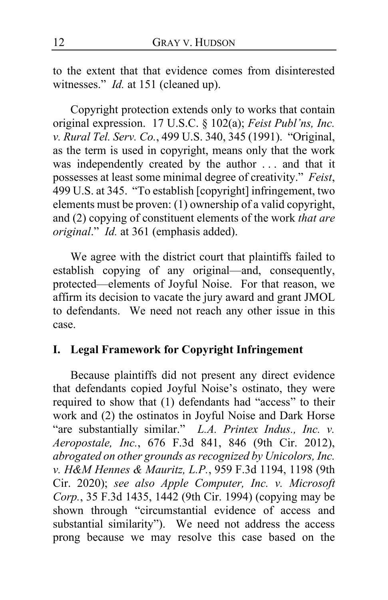to the extent that that evidence comes from disinterested witnesses." *Id.* at 151 (cleaned up).

Copyright protection extends only to works that contain original expression. 17 U.S.C. § 102(a); *Feist Publ'ns, Inc. v. Rural Tel. Serv. Co.*, 499 U.S. 340, 345 (1991). "Original, as the term is used in copyright, means only that the work was independently created by the author . . . and that it possesses at least some minimal degree of creativity." *Feist*, 499 U.S. at 345. "To establish [copyright] infringement, two elements must be proven: (1) ownership of a valid copyright, and (2) copying of constituent elements of the work *that are original*." *Id.* at 361 (emphasis added).

We agree with the district court that plaintiffs failed to establish copying of any original—and, consequently, protected—elements of Joyful Noise. For that reason, we affirm its decision to vacate the jury award and grant JMOL to defendants. We need not reach any other issue in this case.

#### **I. Legal Framework for Copyright Infringement**

Because plaintiffs did not present any direct evidence that defendants copied Joyful Noise's ostinato, they were required to show that (1) defendants had "access" to their work and (2) the ostinatos in Joyful Noise and Dark Horse "are substantially similar." *L.A. Printex Indus., Inc. v. Aeropostale, Inc.*, 676 F.3d 841, 846 (9th Cir. 2012), *abrogated on other grounds as recognized by Unicolors, Inc. v. H&M Hennes & Mauritz, L.P.*, 959 F.3d 1194, 1198 (9th Cir. 2020); *see also Apple Computer, Inc. v. Microsoft Corp.*, 35 F.3d 1435, 1442 (9th Cir. 1994) (copying may be shown through "circumstantial evidence of access and substantial similarity"). We need not address the access prong because we may resolve this case based on the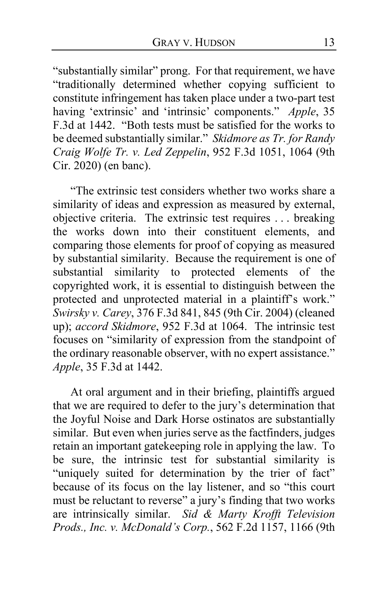"substantially similar" prong. For that requirement, we have "traditionally determined whether copying sufficient to constitute infringement has taken place under a two-part test having 'extrinsic' and 'intrinsic' components." *Apple*, 35 F.3d at 1442. "Both tests must be satisfied for the works to be deemed substantially similar." *Skidmore as Tr. for Randy Craig Wolfe Tr. v. Led Zeppelin*, 952 F.3d 1051, 1064 (9th Cir. 2020) (en banc).

"The extrinsic test considers whether two works share a similarity of ideas and expression as measured by external, objective criteria. The extrinsic test requires . . . breaking the works down into their constituent elements, and comparing those elements for proof of copying as measured by substantial similarity. Because the requirement is one of substantial similarity to protected elements of the copyrighted work, it is essential to distinguish between the protected and unprotected material in a plaintiff's work." *Swirsky v. Carey*, 376 F.3d 841, 845 (9th Cir. 2004) (cleaned up); *accord Skidmore*, 952 F.3d at 1064. The intrinsic test focuses on "similarity of expression from the standpoint of the ordinary reasonable observer, with no expert assistance." *Apple*, 35 F.3d at 1442.

At oral argument and in their briefing, plaintiffs argued that we are required to defer to the jury's determination that the Joyful Noise and Dark Horse ostinatos are substantially similar. But even when juries serve as the factfinders, judges retain an important gatekeeping role in applying the law. To be sure, the intrinsic test for substantial similarity is "uniquely suited for determination by the trier of fact" because of its focus on the lay listener, and so "this court must be reluctant to reverse" a jury's finding that two works are intrinsically similar. *Sid & Marty Krofft Television Prods., Inc. v. McDonald's Corp.*, 562 F.2d 1157, 1166 (9th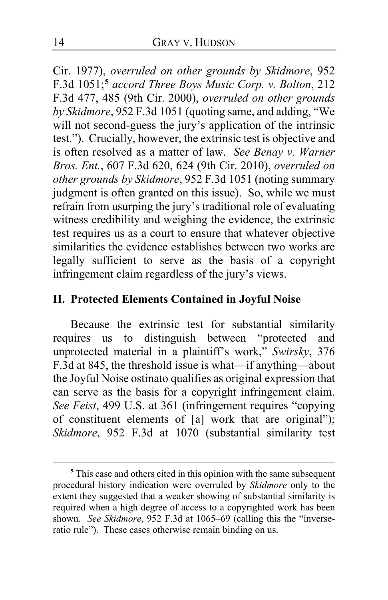Cir. 1977), *overruled on other grounds by Skidmore*, 952 F.3d 1051;**[5](#page-13-0)** *accord Three Boys Music Corp. v. Bolton*, 212 F.3d 477, 485 (9th Cir. 2000), *overruled on other grounds by Skidmore*, 952 F.3d 1051 (quoting same, and adding, "We will not second-guess the jury's application of the intrinsic test."). Crucially, however, the extrinsic test is objective and is often resolved as a matter of law. *See Benay v. Warner Bros. Ent.*, 607 F.3d 620, 624 (9th Cir. 2010), *overruled on other grounds by Skidmore*, 952 F.3d 1051 (noting summary judgment is often granted on this issue). So, while we must refrain from usurping the jury's traditional role of evaluating witness credibility and weighing the evidence, the extrinsic test requires us as a court to ensure that whatever objective similarities the evidence establishes between two works are legally sufficient to serve as the basis of a copyright infringement claim regardless of the jury's views.

### **II. Protected Elements Contained in Joyful Noise**

Because the extrinsic test for substantial similarity requires us to distinguish between "protected and unprotected material in a plaintiff's work," *Swirsky*, 376 F.3d at 845, the threshold issue is what—if anything—about the Joyful Noise ostinato qualifies as original expression that can serve as the basis for a copyright infringement claim. *See Feist*, 499 U.S. at 361 (infringement requires "copying of constituent elements of [a] work that are original"); *Skidmore*, 952 F.3d at 1070 (substantial similarity test

<span id="page-13-0"></span>**<sup>5</sup>** This case and others cited in this opinion with the same subsequent procedural history indication were overruled by *Skidmore* only to the extent they suggested that a weaker showing of substantial similarity is required when a high degree of access to a copyrighted work has been shown. *See Skidmore*, 952 F.3d at 1065–69 (calling this the "inverseratio rule"). These cases otherwise remain binding on us.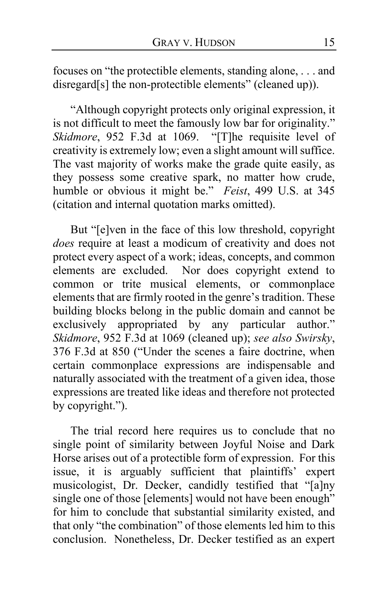focuses on "the protectible elements, standing alone, . . . and disregard[s] the non-protectible elements" (cleaned up)).

"Although copyright protects only original expression, it is not difficult to meet the famously low bar for originality." *Skidmore*, 952 F.3d at 1069. "[T]he requisite level of creativity is extremely low; even a slight amount will suffice. The vast majority of works make the grade quite easily, as they possess some creative spark, no matter how crude, humble or obvious it might be." *Feist*, 499 U.S. at 345 (citation and internal quotation marks omitted).

But "[e]ven in the face of this low threshold, copyright *does* require at least a modicum of creativity and does not protect every aspect of a work; ideas, concepts, and common elements are excluded. Nor does copyright extend to common or trite musical elements, or commonplace elements that are firmly rooted in the genre's tradition. These building blocks belong in the public domain and cannot be exclusively appropriated by any particular author." *Skidmore*, 952 F.3d at 1069 (cleaned up); *see also Swirsky*, 376 F.3d at 850 ("Under the scenes a faire doctrine, when certain commonplace expressions are indispensable and naturally associated with the treatment of a given idea, those expressions are treated like ideas and therefore not protected by copyright.").

The trial record here requires us to conclude that no single point of similarity between Joyful Noise and Dark Horse arises out of a protectible form of expression. For this issue, it is arguably sufficient that plaintiffs' expert musicologist, Dr. Decker, candidly testified that "[a]ny single one of those [elements] would not have been enough" for him to conclude that substantial similarity existed, and that only "the combination" of those elements led him to this conclusion. Nonetheless, Dr. Decker testified as an expert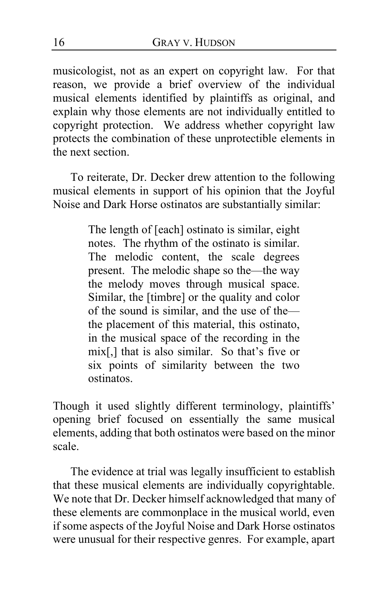musicologist, not as an expert on copyright law. For that reason, we provide a brief overview of the individual musical elements identified by plaintiffs as original, and explain why those elements are not individually entitled to copyright protection. We address whether copyright law protects the combination of these unprotectible elements in the next section.

To reiterate, Dr. Decker drew attention to the following musical elements in support of his opinion that the Joyful Noise and Dark Horse ostinatos are substantially similar:

> The length of [each] ostinato is similar, eight notes. The rhythm of the ostinato is similar. The melodic content, the scale degrees present. The melodic shape so the—the way the melody moves through musical space. Similar, the [timbre] or the quality and color of the sound is similar, and the use of the the placement of this material, this ostinato, in the musical space of the recording in the mix[,] that is also similar. So that's five or six points of similarity between the two ostinatos.

Though it used slightly different terminology, plaintiffs' opening brief focused on essentially the same musical elements, adding that both ostinatos were based on the minor scale.

The evidence at trial was legally insufficient to establish that these musical elements are individually copyrightable. We note that Dr. Decker himself acknowledged that many of these elements are commonplace in the musical world, even if some aspects of the Joyful Noise and Dark Horse ostinatos were unusual for their respective genres. For example, apart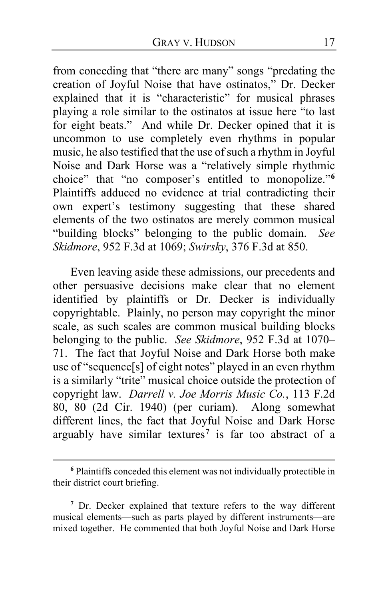from conceding that "there are many" songs "predating the creation of Joyful Noise that have ostinatos," Dr. Decker explained that it is "characteristic" for musical phrases playing a role similar to the ostinatos at issue here "to last for eight beats."And while Dr. Decker opined that it is uncommon to use completely even rhythms in popular music, he also testified that the use of such a rhythm in Joyful Noise and Dark Horse was a "relatively simple rhythmic choice" that "no composer's entitled to monopolize."**[6](#page-16-0)** Plaintiffs adduced no evidence at trial contradicting their own expert's testimony suggesting that these shared elements of the two ostinatos are merely common musical "building blocks" belonging to the public domain. *See Skidmore*, 952 F.3d at 1069; *Swirsky*, 376 F.3d at 850.

Even leaving aside these admissions, our precedents and other persuasive decisions make clear that no element identified by plaintiffs or Dr. Decker is individually copyrightable. Plainly, no person may copyright the minor scale, as such scales are common musical building blocks belonging to the public. *See Skidmore*, 952 F.3d at 1070– 71. The fact that Joyful Noise and Dark Horse both make use of "sequence[s] of eight notes" played in an even rhythm is a similarly "trite" musical choice outside the protection of copyright law. *Darrell v. Joe Morris Music Co.*, 113 F.2d 80, 80 (2d Cir. 1940) (per curiam). Along somewhat different lines, the fact that Joyful Noise and Dark Horse arguably have similar textures**[7](#page-16-1)** is far too abstract of a

<span id="page-16-0"></span>**<sup>6</sup>** Plaintiffs conceded this element was not individually protectible in their district court briefing.

<span id="page-16-1"></span>**<sup>7</sup>** Dr. Decker explained that texture refers to the way different musical elements—such as parts played by different instruments—are mixed together. He commented that both Joyful Noise and Dark Horse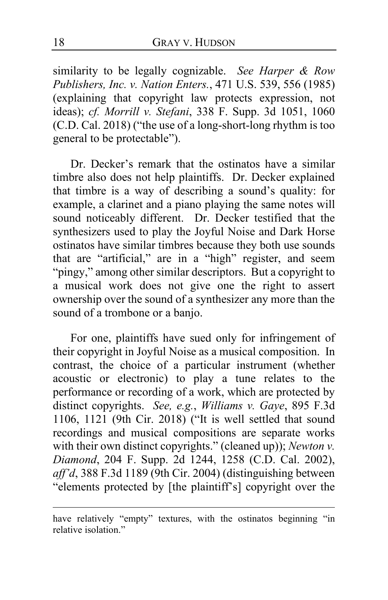similarity to be legally cognizable. *See Harper & Row Publishers, Inc. v. Nation Enters.*, 471 U.S. 539, 556 (1985) (explaining that copyright law protects expression, not ideas); *cf. Morrill v. Stefani*, 338 F. Supp. 3d 1051, 1060 (C.D. Cal. 2018) ("the use of a long-short-long rhythm is too general to be protectable").

Dr. Decker's remark that the ostinatos have a similar timbre also does not help plaintiffs. Dr. Decker explained that timbre is a way of describing a sound's quality: for example, a clarinet and a piano playing the same notes will sound noticeably different. Dr. Decker testified that the synthesizers used to play the Joyful Noise and Dark Horse ostinatos have similar timbres because they both use sounds that are "artificial," are in a "high" register, and seem "pingy," among other similar descriptors. But a copyright to a musical work does not give one the right to assert ownership over the sound of a synthesizer any more than the sound of a trombone or a banjo.

For one, plaintiffs have sued only for infringement of their copyright in Joyful Noise as a musical composition. In contrast, the choice of a particular instrument (whether acoustic or electronic) to play a tune relates to the performance or recording of a work, which are protected by distinct copyrights. *See, e.g.*, *Williams v. Gaye*, 895 F.3d 1106, 1121 (9th Cir. 2018) ("It is well settled that sound recordings and musical compositions are separate works with their own distinct copyrights." (cleaned up)); *Newton v. Diamond*, 204 F. Supp. 2d 1244, 1258 (C.D. Cal. 2002), *aff'd*, 388 F.3d 1189 (9th Cir. 2004) (distinguishing between "elements protected by [the plaintiff's] copyright over the

have relatively "empty" textures, with the ostinatos beginning "in relative isolation."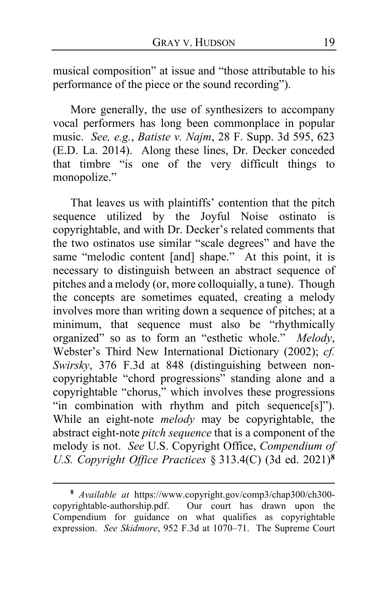musical composition" at issue and "those attributable to his performance of the piece or the sound recording").

More generally, the use of synthesizers to accompany vocal performers has long been commonplace in popular music. *See, e.g.*, *Batiste v. Najm*, 28 F. Supp. 3d 595, 623 (E.D. La. 2014). Along these lines, Dr. Decker conceded that timbre "is one of the very difficult things to monopolize."

That leaves us with plaintiffs' contention that the pitch sequence utilized by the Joyful Noise ostinato is copyrightable, and with Dr. Decker's related comments that the two ostinatos use similar "scale degrees" and have the same "melodic content [and] shape." At this point, it is necessary to distinguish between an abstract sequence of pitches and a melody (or, more colloquially, a tune). Though the concepts are sometimes equated, creating a melody involves more than writing down a sequence of pitches; at a minimum, that sequence must also be "rhythmically organized" so as to form an "esthetic whole." *Melody*, Webster's Third New International Dictionary (2002); *cf. Swirsky*, 376 F.3d at 848 (distinguishing between noncopyrightable "chord progressions" standing alone and a copyrightable "chorus," which involves these progressions "in combination with rhythm and pitch sequence[s]"). While an eight-note *melody* may be copyrightable, the abstract eight-note *pitch sequence* that is a component of the melody is not. *See* U.S. Copyright Office, *Compendium of U.S. Copyright Office Practices* § 313.4(C) (3d ed. 2021)**[8](#page-18-0)**

<span id="page-18-0"></span>**<sup>8</sup>** *Available at* https://www.copyright.gov/comp3/chap300/ch300 copyrightable-authorship.pdf. Our court has drawn upon the Compendium for guidance on what qualifies as copyrightable expression. *See Skidmore*, 952 F.3d at 1070–71. The Supreme Court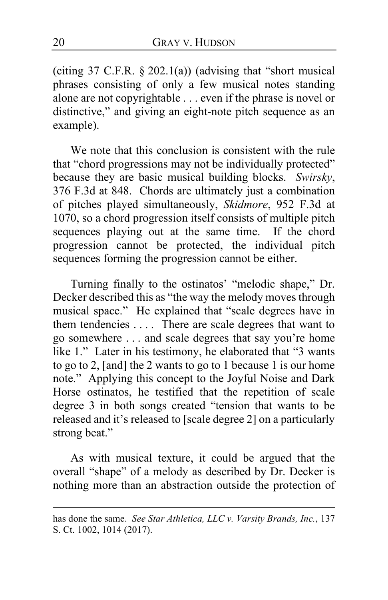(citing  $37$  C.F.R.  $\S 202.1(a)$ ) (advising that "short musical phrases consisting of only a few musical notes standing alone are not copyrightable . . . even if the phrase is novel or distinctive," and giving an eight-note pitch sequence as an example).

We note that this conclusion is consistent with the rule that "chord progressions may not be individually protected" because they are basic musical building blocks. *Swirsky*, 376 F.3d at 848. Chords are ultimately just a combination of pitches played simultaneously, *Skidmore*, 952 F.3d at 1070, so a chord progression itself consists of multiple pitch sequences playing out at the same time. If the chord progression cannot be protected, the individual pitch sequences forming the progression cannot be either.

Turning finally to the ostinatos' "melodic shape," Dr. Decker described this as "the way the melody moves through musical space." He explained that "scale degrees have in them tendencies . . . . There are scale degrees that want to go somewhere . . . and scale degrees that say you're home like 1." Later in his testimony, he elaborated that "3 wants to go to 2, [and] the 2 wants to go to 1 because 1 is our home note." Applying this concept to the Joyful Noise and Dark Horse ostinatos, he testified that the repetition of scale degree 3 in both songs created "tension that wants to be released and it's released to [scale degree 2] on a particularly strong beat."

As with musical texture, it could be argued that the overall "shape" of a melody as described by Dr. Decker is nothing more than an abstraction outside the protection of

has done the same. *See Star Athletica, LLC v. Varsity Brands, Inc.*, 137 S. Ct. 1002, 1014 (2017).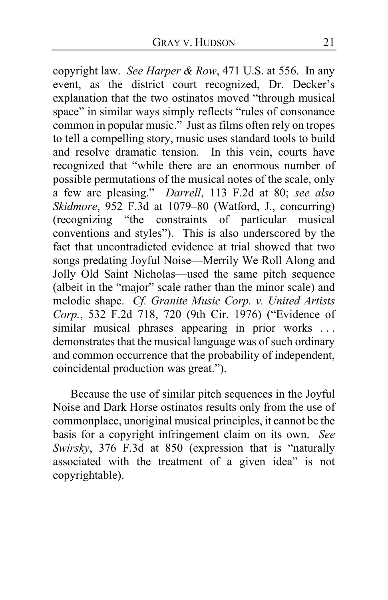copyright law. *See Harper & Row*, 471 U.S. at 556. In any event, as the district court recognized, Dr. Decker's explanation that the two ostinatos moved "through musical space" in similar ways simply reflects "rules of consonance common in popular music." Just as films often rely on tropes to tell a compelling story, music uses standard tools to build and resolve dramatic tension. In this vein, courts have recognized that "while there are an enormous number of possible permutations of the musical notes of the scale, only a few are pleasing." *Darrell*, 113 F.2d at 80; *see also Skidmore*, 952 F.3d at 1079–80 (Watford, J., concurring) (recognizing "the constraints of particular musical conventions and styles"). This is also underscored by the fact that uncontradicted evidence at trial showed that two songs predating Joyful Noise—Merrily We Roll Along and Jolly Old Saint Nicholas—used the same pitch sequence (albeit in the "major" scale rather than the minor scale) and melodic shape. *Cf. Granite Music Corp. v. United Artists Corp.*, 532 F.2d 718, 720 (9th Cir. 1976) ("Evidence of similar musical phrases appearing in prior works ... demonstrates that the musical language was of such ordinary and common occurrence that the probability of independent, coincidental production was great.").

Because the use of similar pitch sequences in the Joyful Noise and Dark Horse ostinatos results only from the use of commonplace, unoriginal musical principles, it cannot be the basis for a copyright infringement claim on its own. *See Swirsky*, 376 F.3d at 850 (expression that is "naturally associated with the treatment of a given idea" is not copyrightable).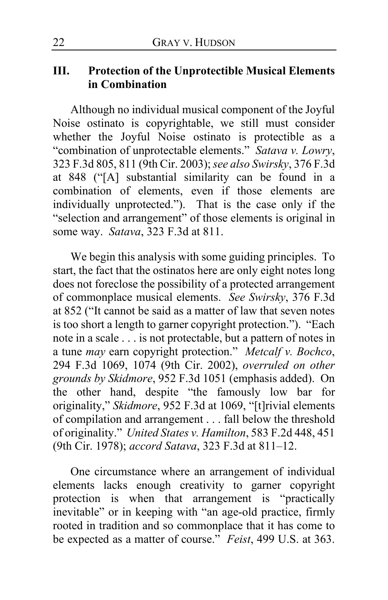### **III. Protection of the Unprotectible Musical Elements in Combination**

Although no individual musical component of the Joyful Noise ostinato is copyrightable, we still must consider whether the Joyful Noise ostinato is protectible as a "combination of unprotectable elements." *Satava v. Lowry*, 323 F.3d 805, 811 (9th Cir. 2003); *see also Swirsky*, 376 F.3d at 848 ("[A] substantial similarity can be found in a combination of elements, even if those elements are individually unprotected."). That is the case only if the "selection and arrangement" of those elements is original in some way. *Satava*, 323 F.3d at 811.

We begin this analysis with some guiding principles. To start, the fact that the ostinatos here are only eight notes long does not foreclose the possibility of a protected arrangement of commonplace musical elements. *See Swirsky*, 376 F.3d at 852 ("It cannot be said as a matter of law that seven notes is too short a length to garner copyright protection."). "Each note in a scale . . . is not protectable, but a pattern of notes in a tune *may* earn copyright protection." *Metcalf v. Bochco*, 294 F.3d 1069, 1074 (9th Cir. 2002), *overruled on other grounds by Skidmore*, 952 F.3d 1051 (emphasis added). On the other hand, despite "the famously low bar for originality," *Skidmore*, 952 F.3d at 1069, "[t]rivial elements of compilation and arrangement . . . fall below the threshold of originality." *United States v. Hamilton*, 583 F.2d 448, 451 (9th Cir. 1978); *accord Satava*, 323 F.3d at 811–12.

One circumstance where an arrangement of individual elements lacks enough creativity to garner copyright protection is when that arrangement is "practically inevitable" or in keeping with "an age-old practice, firmly rooted in tradition and so commonplace that it has come to be expected as a matter of course." *Feist*, 499 U.S. at 363.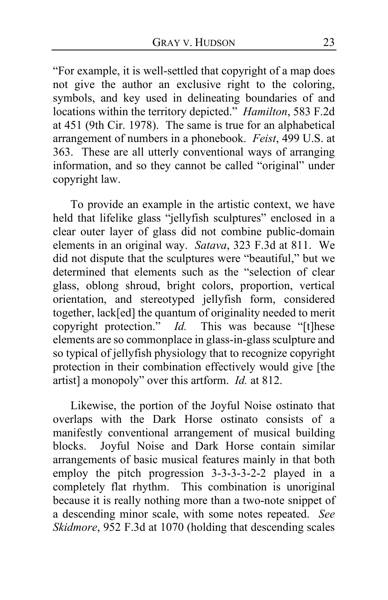"For example, it is well-settled that copyright of a map does not give the author an exclusive right to the coloring, symbols, and key used in delineating boundaries of and locations within the territory depicted." *Hamilton*, 583 F.2d at 451 (9th Cir. 1978). The same is true for an alphabetical arrangement of numbers in a phonebook. *Feist*, 499 U.S. at 363. These are all utterly conventional ways of arranging information, and so they cannot be called "original" under copyright law.

To provide an example in the artistic context, we have held that lifelike glass "jellyfish sculptures" enclosed in a clear outer layer of glass did not combine public-domain elements in an original way. *Satava*, 323 F.3d at 811. We did not dispute that the sculptures were "beautiful," but we determined that elements such as the "selection of clear glass, oblong shroud, bright colors, proportion, vertical orientation, and stereotyped jellyfish form, considered together, lack[ed] the quantum of originality needed to merit copyright protection." *Id.* This was because "[t]hese elements are so commonplace in glass-in-glass sculpture and so typical of jellyfish physiology that to recognize copyright protection in their combination effectively would give [the artist] a monopoly" over this artform. *Id.* at 812.

Likewise, the portion of the Joyful Noise ostinato that overlaps with the Dark Horse ostinato consists of a manifestly conventional arrangement of musical building blocks. Joyful Noise and Dark Horse contain similar arrangements of basic musical features mainly in that both employ the pitch progression 3-3-3-3-2-2 played in a completely flat rhythm. This combination is unoriginal because it is really nothing more than a two-note snippet of a descending minor scale, with some notes repeated. *See Skidmore*, 952 F.3d at 1070 (holding that descending scales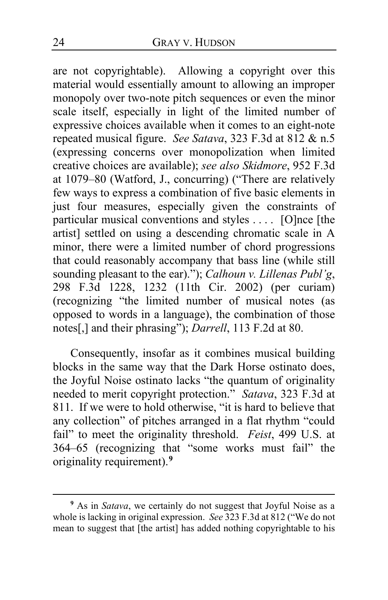are not copyrightable). Allowing a copyright over this material would essentially amount to allowing an improper monopoly over two-note pitch sequences or even the minor scale itself, especially in light of the limited number of expressive choices available when it comes to an eight-note repeated musical figure. *See Satava*, 323 F.3d at 812 & n.5 (expressing concerns over monopolization when limited creative choices are available); *see also Skidmore*, 952 F.3d at 1079–80 (Watford, J., concurring) ("There are relatively few ways to express a combination of five basic elements in just four measures, especially given the constraints of particular musical conventions and styles . . . . [O]nce [the artist] settled on using a descending chromatic scale in A minor, there were a limited number of chord progressions that could reasonably accompany that bass line (while still sounding pleasant to the ear)."); *Calhoun v. Lillenas Publ'g*, 298 F.3d 1228, 1232 (11th Cir. 2002) (per curiam) (recognizing "the limited number of musical notes (as opposed to words in a language), the combination of those notes[,] and their phrasing"); *Darrell*, 113 F.2d at 80.

Consequently, insofar as it combines musical building blocks in the same way that the Dark Horse ostinato does, the Joyful Noise ostinato lacks "the quantum of originality needed to merit copyright protection." *Satava*, 323 F.3d at 811. If we were to hold otherwise, "it is hard to believe that any collection" of pitches arranged in a flat rhythm "could fail" to meet the originality threshold. *Feist*, 499 U.S. at 364–65 (recognizing that "some works must fail" the originality requirement).**[9](#page-23-0)**

<span id="page-23-0"></span>**<sup>9</sup>** As in *Satava*, we certainly do not suggest that Joyful Noise as a whole is lacking in original expression. *See* 323 F.3d at 812 ("We do not mean to suggest that [the artist] has added nothing copyrightable to his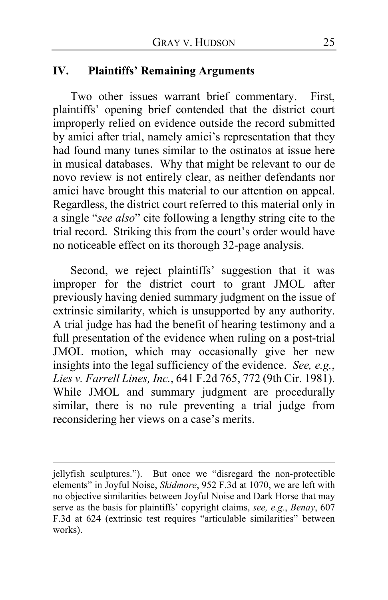### **IV. Plaintiffs' Remaining Arguments**

Two other issues warrant brief commentary. First, plaintiffs' opening brief contended that the district court improperly relied on evidence outside the record submitted by amici after trial, namely amici's representation that they had found many tunes similar to the ostinatos at issue here in musical databases. Why that might be relevant to our de novo review is not entirely clear, as neither defendants nor amici have brought this material to our attention on appeal. Regardless, the district court referred to this material only in a single "*see also*" cite following a lengthy string cite to the trial record. Striking this from the court's order would have no noticeable effect on its thorough 32-page analysis.

Second, we reject plaintiffs' suggestion that it was improper for the district court to grant JMOL after previously having denied summary judgment on the issue of extrinsic similarity, which is unsupported by any authority. A trial judge has had the benefit of hearing testimony and a full presentation of the evidence when ruling on a post-trial JMOL motion, which may occasionally give her new insights into the legal sufficiency of the evidence. *See, e.g.*, *Lies v. Farrell Lines, Inc.*, 641 F.2d 765, 772 (9th Cir. 1981). While JMOL and summary judgment are procedurally similar, there is no rule preventing a trial judge from reconsidering her views on a case's merits.

jellyfish sculptures."). But once we "disregard the non-protectible elements" in Joyful Noise, *Skidmore*, 952 F.3d at 1070, we are left with no objective similarities between Joyful Noise and Dark Horse that may serve as the basis for plaintiffs' copyright claims, *see, e.g.*, *Benay*, 607 F.3d at 624 (extrinsic test requires "articulable similarities" between works).